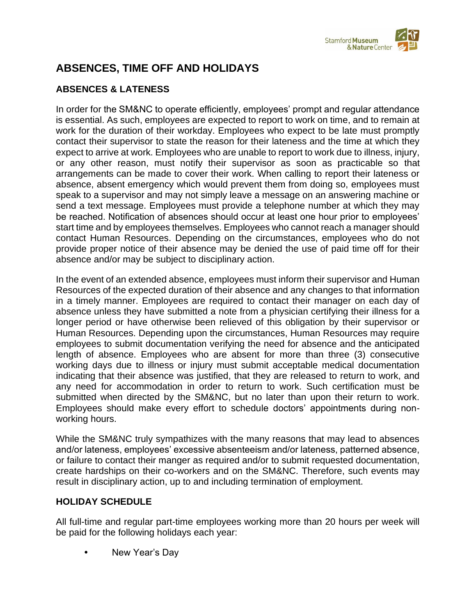

# **ABSENCES, TIME OFF AND HOLIDAYS**

# **ABSENCES & LATENESS**

In order for the SM&NC to operate efficiently, employees' prompt and regular attendance is essential. As such, employees are expected to report to work on time, and to remain at work for the duration of their workday. Employees who expect to be late must promptly contact their supervisor to state the reason for their lateness and the time at which they expect to arrive at work. Employees who are unable to report to work due to illness, injury, or any other reason, must notify their supervisor as soon as practicable so that arrangements can be made to cover their work. When calling to report their lateness or absence, absent emergency which would prevent them from doing so, employees must speak to a supervisor and may not simply leave a message on an answering machine or send a text message. Employees must provide a telephone number at which they may be reached. Notification of absences should occur at least one hour prior to employees' start time and by employees themselves. Employees who cannot reach a manager should contact Human Resources. Depending on the circumstances, employees who do not provide proper notice of their absence may be denied the use of paid time off for their absence and/or may be subject to disciplinary action.

In the event of an extended absence, employees must inform their supervisor and Human Resources of the expected duration of their absence and any changes to that information in a timely manner. Employees are required to contact their manager on each day of absence unless they have submitted a note from a physician certifying their illness for a longer period or have otherwise been relieved of this obligation by their supervisor or Human Resources. Depending upon the circumstances, Human Resources may require employees to submit documentation verifying the need for absence and the anticipated length of absence. Employees who are absent for more than three (3) consecutive working days due to illness or injury must submit acceptable medical documentation indicating that their absence was justified, that they are released to return to work, and any need for accommodation in order to return to work. Such certification must be submitted when directed by the SM&NC, but no later than upon their return to work. Employees should make every effort to schedule doctors' appointments during nonworking hours.

While the SM&NC truly sympathizes with the many reasons that may lead to absences and/or lateness, employees' excessive absenteeism and/or lateness, patterned absence, or failure to contact their manger as required and/or to submit requested documentation, create hardships on their co-workers and on the SM&NC. Therefore, such events may result in disciplinary action, up to and including termination of employment.

# **HOLIDAY SCHEDULE**

All full-time and regular part-time employees working more than 20 hours per week will be paid for the following holidays each year:

New Year's Day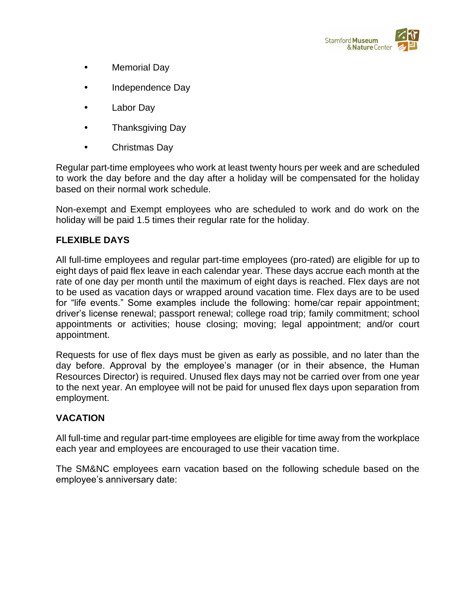

- Memorial Day
- Independence Day
- Labor Day
- Thanksgiving Day
- Christmas Day

Regular part-time employees who work at least twenty hours per week and are scheduled to work the day before and the day after a holiday will be compensated for the holiday based on their normal work schedule.

Non-exempt and Exempt employees who are scheduled to work and do work on the holiday will be paid 1.5 times their regular rate for the holiday.

# **FLEXIBLE DAYS**

All full-time employees and regular part-time employees (pro-rated) are eligible for up to eight days of paid flex leave in each calendar year. These days accrue each month at the rate of one day per month until the maximum of eight days is reached. Flex days are not to be used as vacation days or wrapped around vacation time. Flex days are to be used for "life events." Some examples include the following: home/car repair appointment; driver's license renewal; passport renewal; college road trip; family commitment; school appointments or activities; house closing; moving; legal appointment; and/or court appointment.

Requests for use of flex days must be given as early as possible, and no later than the day before. Approval by the employee's manager (or in their absence, the Human Resources Director) is required. Unused flex days may not be carried over from one year to the next year. An employee will not be paid for unused flex days upon separation from employment.

# **VACATION**

All full-time and regular part-time employees are eligible for time away from the workplace each year and employees are encouraged to use their vacation time.

The SM&NC employees earn vacation based on the following schedule based on the employee's anniversary date: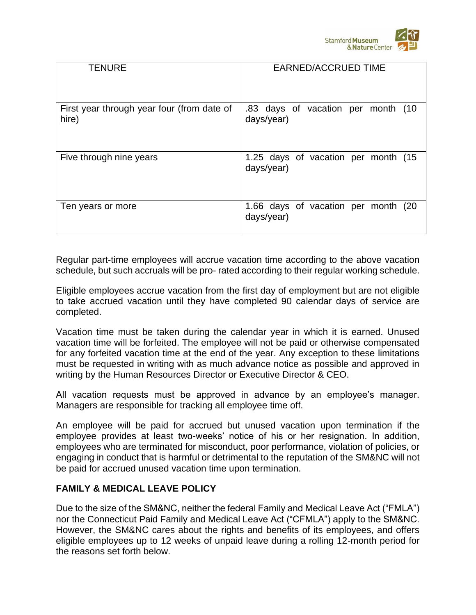

| <b>TENURE</b>                                       | <b>EARNED/ACCRUED TIME</b>                        |
|-----------------------------------------------------|---------------------------------------------------|
|                                                     |                                                   |
| First year through year four (from date of<br>hire) | .83 days of vacation per month (10<br>days/year)  |
| Five through nine years                             | 1.25 days of vacation per month (15<br>days/year) |
| Ten years or more                                   | 1.66 days of vacation per month (20<br>days/year) |

Regular part-time employees will accrue vacation time according to the above vacation schedule, but such accruals will be pro- rated according to their regular working schedule.

Eligible employees accrue vacation from the first day of employment but are not eligible to take accrued vacation until they have completed 90 calendar days of service are completed.

Vacation time must be taken during the calendar year in which it is earned. Unused vacation time will be forfeited. The employee will not be paid or otherwise compensated for any forfeited vacation time at the end of the year. Any exception to these limitations must be requested in writing with as much advance notice as possible and approved in writing by the Human Resources Director or Executive Director & CEO.

All vacation requests must be approved in advance by an employee's manager. Managers are responsible for tracking all employee time off.

An employee will be paid for accrued but unused vacation upon termination if the employee provides at least two-weeks' notice of his or her resignation. In addition, employees who are terminated for misconduct, poor performance, violation of policies, or engaging in conduct that is harmful or detrimental to the reputation of the SM&NC will not be paid for accrued unused vacation time upon termination.

# **FAMILY & MEDICAL LEAVE POLICY**

Due to the size of the SM&NC, neither the federal Family and Medical Leave Act ("FMLA") nor the Connecticut Paid Family and Medical Leave Act ("CFMLA") apply to the SM&NC. However, the SM&NC cares about the rights and benefits of its employees, and offers eligible employees up to 12 weeks of unpaid leave during a rolling 12-month period for the reasons set forth below.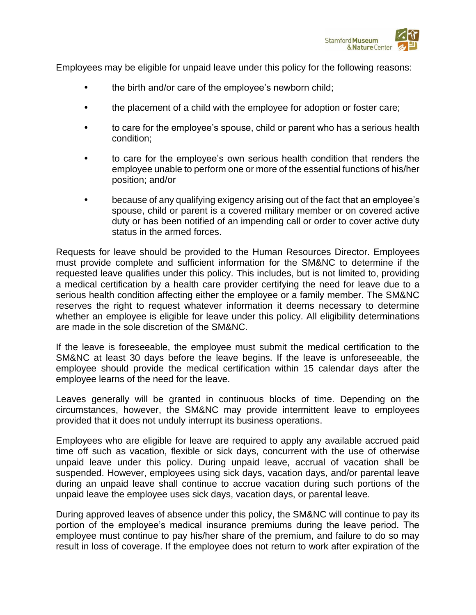

Employees may be eligible for unpaid leave under this policy for the following reasons:

- the birth and/or care of the employee's newborn child;
- the placement of a child with the employee for adoption or foster care;
- to care for the employee's spouse, child or parent who has a serious health condition;
- to care for the employee's own serious health condition that renders the employee unable to perform one or more of the essential functions of his/her position; and/or
- because of any qualifying exigency arising out of the fact that an employee's spouse, child or parent is a covered military member or on covered active duty or has been notified of an impending call or order to cover active duty status in the armed forces.

Requests for leave should be provided to the Human Resources Director. Employees must provide complete and sufficient information for the SM&NC to determine if the requested leave qualifies under this policy. This includes, but is not limited to, providing a medical certification by a health care provider certifying the need for leave due to a serious health condition affecting either the employee or a family member. The SM&NC reserves the right to request whatever information it deems necessary to determine whether an employee is eligible for leave under this policy. All eligibility determinations are made in the sole discretion of the SM&NC.

If the leave is foreseeable, the employee must submit the medical certification to the SM&NC at least 30 days before the leave begins. If the leave is unforeseeable, the employee should provide the medical certification within 15 calendar days after the employee learns of the need for the leave.

Leaves generally will be granted in continuous blocks of time. Depending on the circumstances, however, the SM&NC may provide intermittent leave to employees provided that it does not unduly interrupt its business operations.

Employees who are eligible for leave are required to apply any available accrued paid time off such as vacation, flexible or sick days, concurrent with the use of otherwise unpaid leave under this policy. During unpaid leave, accrual of vacation shall be suspended. However, employees using sick days, vacation days, and/or parental leave during an unpaid leave shall continue to accrue vacation during such portions of the unpaid leave the employee uses sick days, vacation days, or parental leave.

During approved leaves of absence under this policy, the SM&NC will continue to pay its portion of the employee's medical insurance premiums during the leave period. The employee must continue to pay his/her share of the premium, and failure to do so may result in loss of coverage. If the employee does not return to work after expiration of the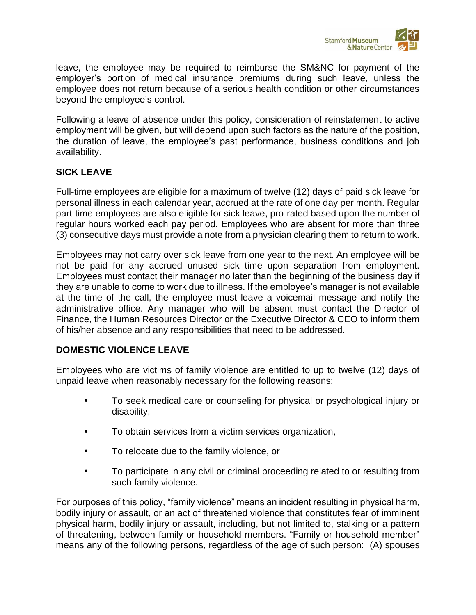

leave, the employee may be required to reimburse the SM&NC for payment of the employer's portion of medical insurance premiums during such leave, unless the employee does not return because of a serious health condition or other circumstances beyond the employee's control.

Following a leave of absence under this policy, consideration of reinstatement to active employment will be given, but will depend upon such factors as the nature of the position, the duration of leave, the employee's past performance, business conditions and job availability.

# **SICK LEAVE**

Full-time employees are eligible for a maximum of twelve (12) days of paid sick leave for personal illness in each calendar year, accrued at the rate of one day per month. Regular part-time employees are also eligible for sick leave, pro-rated based upon the number of regular hours worked each pay period. Employees who are absent for more than three (3) consecutive days must provide a note from a physician clearing them to return to work.

Employees may not carry over sick leave from one year to the next. An employee will be not be paid for any accrued unused sick time upon separation from employment. Employees must contact their manager no later than the beginning of the business day if they are unable to come to work due to illness. If the employee's manager is not available at the time of the call, the employee must leave a voicemail message and notify the administrative office. Any manager who will be absent must contact the Director of Finance, the Human Resources Director or the Executive Director & CEO to inform them of his/her absence and any responsibilities that need to be addressed.

# **DOMESTIC VIOLENCE LEAVE**

Employees who are victims of family violence are entitled to up to twelve (12) days of unpaid leave when reasonably necessary for the following reasons:

- To seek medical care or counseling for physical or psychological injury or disability,
- To obtain services from a victim services organization,
- To relocate due to the family violence, or
- To participate in any civil or criminal proceeding related to or resulting from such family violence.

For purposes of this policy, "family violence" means an incident resulting in physical harm, bodily injury or assault, or an act of threatened violence that constitutes fear of imminent physical harm, bodily injury or assault, including, but not limited to, stalking or a pattern of threatening, between family or household members. "Family or household member" means any of the following persons, regardless of the age of such person: (A) spouses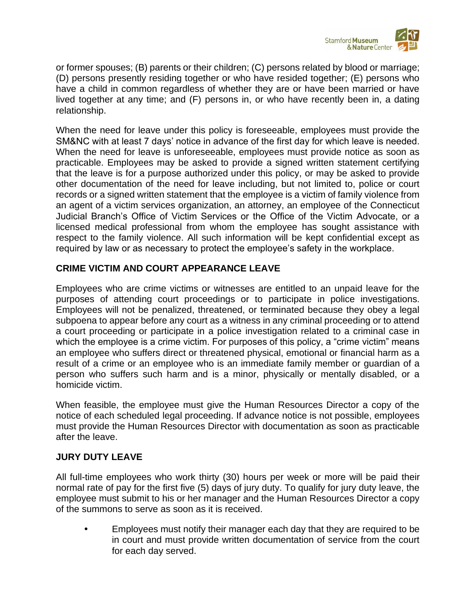

or former spouses; (B) parents or their children; (C) persons related by blood or marriage; (D) persons presently residing together or who have resided together; (E) persons who have a child in common regardless of whether they are or have been married or have lived together at any time; and (F) persons in, or who have recently been in, a dating relationship.

When the need for leave under this policy is foreseeable, employees must provide the SM&NC with at least 7 days' notice in advance of the first day for which leave is needed. When the need for leave is unforeseeable, employees must provide notice as soon as practicable. Employees may be asked to provide a signed written statement certifying that the leave is for a purpose authorized under this policy, or may be asked to provide other documentation of the need for leave including, but not limited to, police or court records or a signed written statement that the employee is a victim of family violence from an agent of a victim services organization, an attorney, an employee of the Connecticut Judicial Branch's Office of Victim Services or the Office of the Victim Advocate, or a licensed medical professional from whom the employee has sought assistance with respect to the family violence. All such information will be kept confidential except as required by law or as necessary to protect the employee's safety in the workplace.

# **CRIME VICTIM AND COURT APPEARANCE LEAVE**

Employees who are crime victims or witnesses are entitled to an unpaid leave for the purposes of attending court proceedings or to participate in police investigations. Employees will not be penalized, threatened, or terminated because they obey a legal subpoena to appear before any court as a witness in any criminal proceeding or to attend a court proceeding or participate in a police investigation related to a criminal case in which the employee is a crime victim. For purposes of this policy, a "crime victim" means an employee who suffers direct or threatened physical, emotional or financial harm as a result of a crime or an employee who is an immediate family member or guardian of a person who suffers such harm and is a minor, physically or mentally disabled, or a homicide victim.

When feasible, the employee must give the Human Resources Director a copy of the notice of each scheduled legal proceeding. If advance notice is not possible, employees must provide the Human Resources Director with documentation as soon as practicable after the leave.

# **JURY DUTY LEAVE**

All full-time employees who work thirty (30) hours per week or more will be paid their normal rate of pay for the first five (5) days of jury duty. To qualify for jury duty leave, the employee must submit to his or her manager and the Human Resources Director a copy of the summons to serve as soon as it is received.

 Employees must notify their manager each day that they are required to be in court and must provide written documentation of service from the court for each day served.